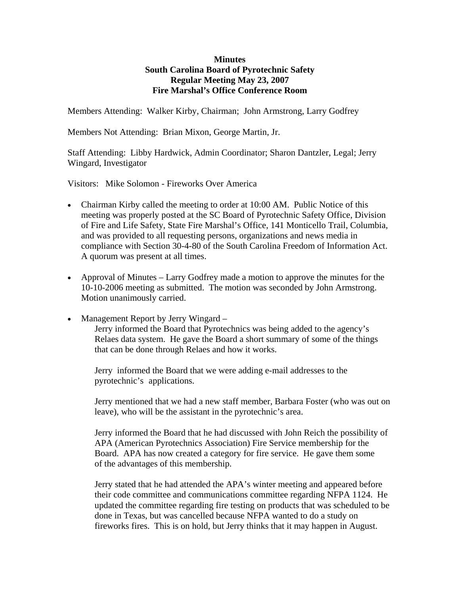## **Minutes South Carolina Board of Pyrotechnic Safety Regular Meeting May 23, 2007 Fire Marshal's Office Conference Room**

Members Attending: Walker Kirby, Chairman; John Armstrong, Larry Godfrey

Members Not Attending: Brian Mixon, George Martin, Jr.

Staff Attending: Libby Hardwick, Admin Coordinator; Sharon Dantzler, Legal; Jerry Wingard, Investigator

Visitors: Mike Solomon - Fireworks Over America

- Chairman Kirby called the meeting to order at 10:00 AM. Public Notice of this meeting was properly posted at the SC Board of Pyrotechnic Safety Office, Division of Fire and Life Safety, State Fire Marshal's Office, 141 Monticello Trail, Columbia, and was provided to all requesting persons, organizations and news media in compliance with Section 30-4-80 of the South Carolina Freedom of Information Act. A quorum was present at all times.
- Approval of Minutes Larry Godfrey made a motion to approve the minutes for the 10-10-2006 meeting as submitted. The motion was seconded by John Armstrong. Motion unanimously carried.
- Management Report by Jerry Wingard Jerry informed the Board that Pyrotechnics was being added to the agency's Relaes data system. He gave the Board a short summary of some of the things that can be done through Relaes and how it works.

 Jerry informed the Board that we were adding e-mail addresses to the pyrotechnic's applications.

 Jerry mentioned that we had a new staff member, Barbara Foster (who was out on leave), who will be the assistant in the pyrotechnic's area.

 Jerry informed the Board that he had discussed with John Reich the possibility of APA (American Pyrotechnics Association) Fire Service membership for the Board. APA has now created a category for fire service. He gave them some of the advantages of this membership.

 Jerry stated that he had attended the APA's winter meeting and appeared before their code committee and communications committee regarding NFPA 1124. He updated the committee regarding fire testing on products that was scheduled to be done in Texas, but was cancelled because NFPA wanted to do a study on fireworks fires. This is on hold, but Jerry thinks that it may happen in August.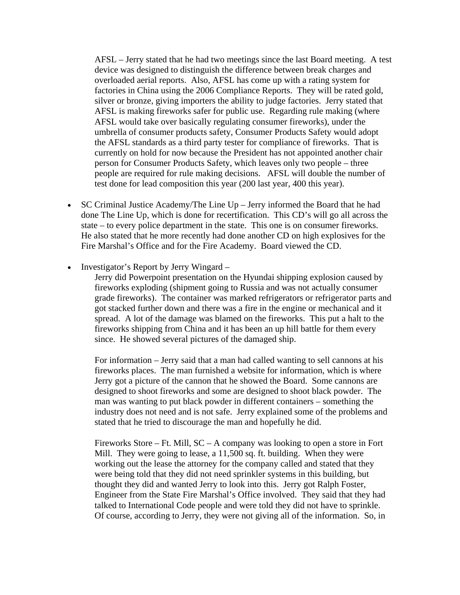AFSL – Jerry stated that he had two meetings since the last Board meeting. A test device was designed to distinguish the difference between break charges and overloaded aerial reports. Also, AFSL has come up with a rating system for factories in China using the 2006 Compliance Reports. They will be rated gold, silver or bronze, giving importers the ability to judge factories. Jerry stated that AFSL is making fireworks safer for public use. Regarding rule making (where AFSL would take over basically regulating consumer fireworks), under the umbrella of consumer products safety, Consumer Products Safety would adopt the AFSL standards as a third party tester for compliance of fireworks. That is currently on hold for now because the President has not appointed another chair person for Consumer Products Safety, which leaves only two people – three people are required for rule making decisions. AFSL will double the number of test done for lead composition this year (200 last year, 400 this year).

- SC Criminal Justice Academy/The Line Up Jerry informed the Board that he had done The Line Up, which is done for recertification. This CD's will go all across the state – to every police department in the state. This one is on consumer fireworks. He also stated that he more recently had done another CD on high explosives for the Fire Marshal's Office and for the Fire Academy. Board viewed the CD.
- Investigator's Report by Jerry Wingard –

 Jerry did Powerpoint presentation on the Hyundai shipping explosion caused by fireworks exploding (shipment going to Russia and was not actually consumer grade fireworks). The container was marked refrigerators or refrigerator parts and got stacked further down and there was a fire in the engine or mechanical and it spread. A lot of the damage was blamed on the fireworks. This put a halt to the fireworks shipping from China and it has been an up hill battle for them every since. He showed several pictures of the damaged ship.

 For information – Jerry said that a man had called wanting to sell cannons at his fireworks places. The man furnished a website for information, which is where Jerry got a picture of the cannon that he showed the Board. Some cannons are designed to shoot fireworks and some are designed to shoot black powder. The man was wanting to put black powder in different containers – something the industry does not need and is not safe. Jerry explained some of the problems and stated that he tried to discourage the man and hopefully he did.

 Fireworks Store – Ft. Mill, SC – A company was looking to open a store in Fort Mill. They were going to lease, a 11,500 sq. ft. building. When they were working out the lease the attorney for the company called and stated that they were being told that they did not need sprinkler systems in this building, but thought they did and wanted Jerry to look into this. Jerry got Ralph Foster, Engineer from the State Fire Marshal's Office involved. They said that they had talked to International Code people and were told they did not have to sprinkle. Of course, according to Jerry, they were not giving all of the information. So, in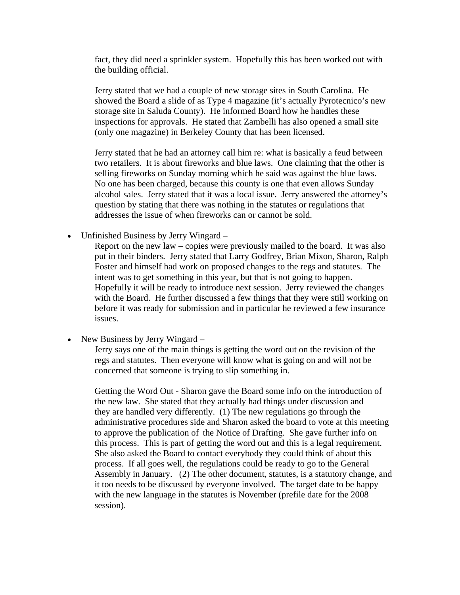fact, they did need a sprinkler system. Hopefully this has been worked out with the building official.

 Jerry stated that we had a couple of new storage sites in South Carolina. He showed the Board a slide of as Type 4 magazine (it's actually Pyrotecnico's new storage site in Saluda County). He informed Board how he handles these inspections for approvals. He stated that Zambelli has also opened a small site (only one magazine) in Berkeley County that has been licensed.

 Jerry stated that he had an attorney call him re: what is basically a feud between two retailers. It is about fireworks and blue laws. One claiming that the other is selling fireworks on Sunday morning which he said was against the blue laws. No one has been charged, because this county is one that even allows Sunday alcohol sales. Jerry stated that it was a local issue. Jerry answered the attorney's question by stating that there was nothing in the statutes or regulations that addresses the issue of when fireworks can or cannot be sold.

• Unfinished Business by Jerry Wingard –

 Report on the new law – copies were previously mailed to the board. It was also put in their binders. Jerry stated that Larry Godfrey, Brian Mixon, Sharon, Ralph Foster and himself had work on proposed changes to the regs and statutes. The intent was to get something in this year, but that is not going to happen. Hopefully it will be ready to introduce next session. Jerry reviewed the changes with the Board. He further discussed a few things that they were still working on before it was ready for submission and in particular he reviewed a few insurance issues.

• New Business by Jerry Wingard –

 Jerry says one of the main things is getting the word out on the revision of the regs and statutes. Then everyone will know what is going on and will not be concerned that someone is trying to slip something in.

 Getting the Word Out - Sharon gave the Board some info on the introduction of the new law. She stated that they actually had things under discussion and they are handled very differently. (1) The new regulations go through the administrative procedures side and Sharon asked the board to vote at this meeting to approve the publication of the Notice of Drafting. She gave further info on this process. This is part of getting the word out and this is a legal requirement. She also asked the Board to contact everybody they could think of about this process. If all goes well, the regulations could be ready to go to the General Assembly in January. (2) The other document, statutes, is a statutory change, and it too needs to be discussed by everyone involved. The target date to be happy with the new language in the statutes is November (prefile date for the 2008 session).